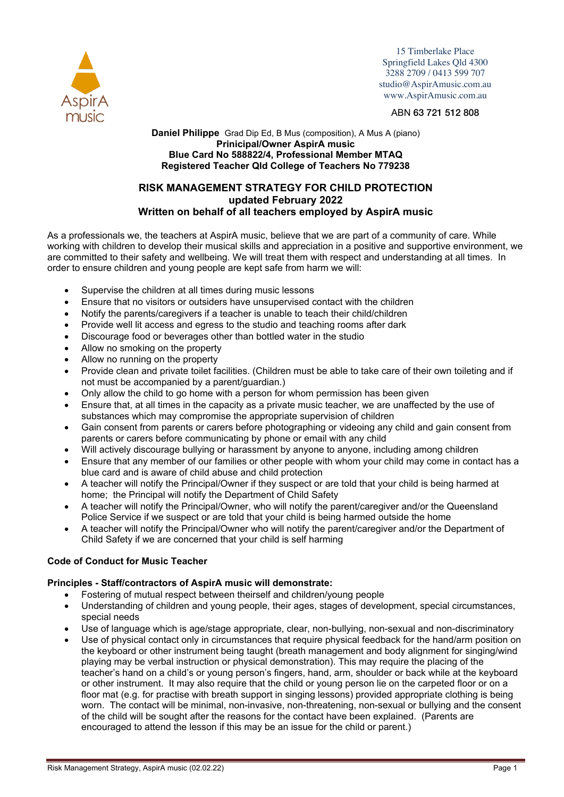

15 Timberlake Place Springfield Lakes Qld 4300 3288 2709 / 0413 599 707 studio@AspirAmusic.com.au www.AspirAmusic.com.au

## ABN 63 721 512 808

### **Daniel Philippe** Grad Dip Ed, B Mus (composition), A Mus A (piano) **Prinicipal/Owner AspirA music Blue Card No 588822/4, Professional Member MTAQ Registered Teacher Qld College of Teachers No 779238**

# **RISK MANAGEMENT STRATEGY FOR CHILD PROTECTION updated February 2022 Written on behalf of all teachers employed by AspirA music**

As a professionals we, the teachers at AspirA music, believe that we are part of a community of care. While working with children to develop their musical skills and appreciation in a positive and supportive environment, we are committed to their safety and wellbeing. We will treat them with respect and understanding at all times. In order to ensure children and young people are kept safe from harm we will:

- Supervise the children at all times during music lessons
- Ensure that no visitors or outsiders have unsupervised contact with the children
- Notify the parents/caregivers if a teacher is unable to teach their child/children
- Provide well lit access and egress to the studio and teaching rooms after dark
- Discourage food or beverages other than bottled water in the studio
- Allow no smoking on the property
- Allow no running on the property
- Provide clean and private toilet facilities. (Children must be able to take care of their own toileting and if not must be accompanied by a parent/guardian.)
- Only allow the child to go home with a person for whom permission has been given
- Ensure that, at all times in the capacity as a private music teacher, we are unaffected by the use of substances which may compromise the appropriate supervision of children
- Gain consent from parents or carers before photographing or videoing any child and gain consent from parents or carers before communicating by phone or email with any child
- Will actively discourage bullying or harassment by anyone to anyone, including among children
- Ensure that any member of our families or other people with whom your child may come in contact has a blue card and is aware of child abuse and child protection
- A teacher will notify the Principal/Owner if they suspect or are told that your child is being harmed at home; the Principal will notify the Department of Child Safety
- A teacher will notify the Principal/Owner, who will notify the parent/caregiver and/or the Queensland Police Service if we suspect or are told that your child is being harmed outside the home
- A teacher will notify the Principal/Owner who will notify the parent/caregiver and/or the Department of Child Safety if we are concerned that your child is self harming

## **Code of Conduct for Music Teacher**

## **Principles - Staff/contractors of AspirA music will demonstrate:**

- Fostering of mutual respect between theirself and children/young people
- Understanding of children and young people, their ages, stages of development, special circumstances, special needs
- Use of language which is age/stage appropriate, clear, non-bullying, non-sexual and non-discriminatory
- Use of physical contact only in circumstances that require physical feedback for the hand/arm position on the keyboard or other instrument being taught (breath management and body alignment for singing/wind playing may be verbal instruction or physical demonstration). This may require the placing of the teacher's hand on a child's or young person's fingers, hand, arm, shoulder or back while at the keyboard or other instrument. It may also require that the child or young person lie on the carpeted floor or on a floor mat (e.g. for practise with breath support in singing lessons) provided appropriate clothing is being worn. The contact will be minimal, non-invasive, non-threatening, non-sexual or bullying and the consent of the child will be sought after the reasons for the contact have been explained. (Parents are encouraged to attend the lesson if this may be an issue for the child or parent.)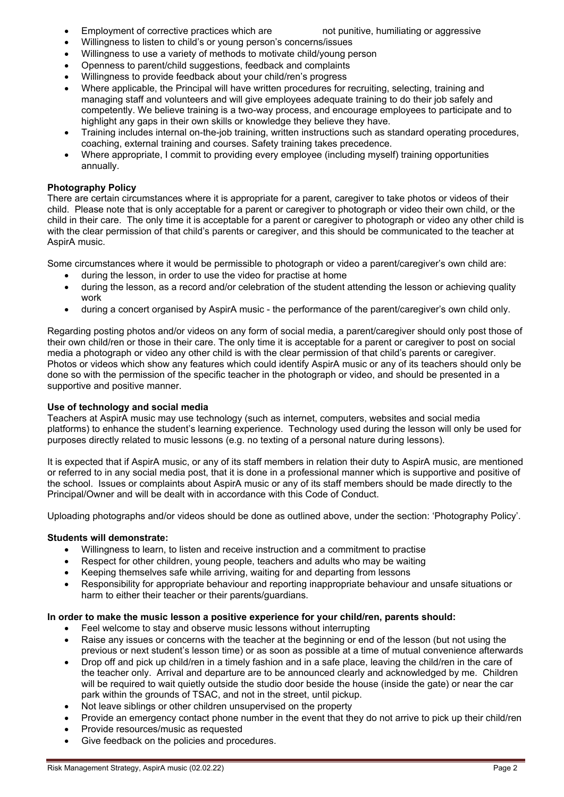- Employment of corrective practices which are not punitive, humiliating or aggressive
	-
- Willingness to listen to child's or young person's concerns/issues
- Willingness to use a variety of methods to motivate child/young person
- Openness to parent/child suggestions, feedback and complaints
- Willingness to provide feedback about your child/ren's progress
- Where applicable, the Principal will have written procedures for recruiting, selecting, training and managing staff and volunteers and will give employees adequate training to do their job safely and competently. We believe training is a two-way process, and encourage employees to participate and to highlight any gaps in their own skills or knowledge they believe they have.
- Training includes internal on-the-job training, written instructions such as standard operating procedures, coaching, external training and courses. Safety training takes precedence.
- Where appropriate, I commit to providing every employee (including myself) training opportunities annually.

# **Photography Policy**

There are certain circumstances where it is appropriate for a parent, caregiver to take photos or videos of their child. Please note that is only acceptable for a parent or caregiver to photograph or video their own child, or the child in their care. The only time it is acceptable for a parent or caregiver to photograph or video any other child is with the clear permission of that child's parents or caregiver, and this should be communicated to the teacher at AspirA music.

Some circumstances where it would be permissible to photograph or video a parent/caregiver's own child are:

- during the lesson, in order to use the video for practise at home
- during the lesson, as a record and/or celebration of the student attending the lesson or achieving quality work
- during a concert organised by AspirA music the performance of the parent/caregiver's own child only.

Regarding posting photos and/or videos on any form of social media, a parent/caregiver should only post those of their own child/ren or those in their care. The only time it is acceptable for a parent or caregiver to post on social media a photograph or video any other child is with the clear permission of that child's parents or caregiver. Photos or videos which show any features which could identify AspirA music or any of its teachers should only be done so with the permission of the specific teacher in the photograph or video, and should be presented in a supportive and positive manner.

## **Use of technology and social media**

Teachers at AspirA music may use technology (such as internet, computers, websites and social media platforms) to enhance the student's learning experience. Technology used during the lesson will only be used for purposes directly related to music lessons (e.g. no texting of a personal nature during lessons).

It is expected that if AspirA music, or any of its staff members in relation their duty to AspirA music, are mentioned or referred to in any social media post, that it is done in a professional manner which is supportive and positive of the school. Issues or complaints about AspirA music or any of its staff members should be made directly to the Principal/Owner and will be dealt with in accordance with this Code of Conduct.

Uploading photographs and/or videos should be done as outlined above, under the section: 'Photography Policy'.

## **Students will demonstrate:**

- Willingness to learn, to listen and receive instruction and a commitment to practise
- Respect for other children, young people, teachers and adults who may be waiting
- Keeping themselves safe while arriving, waiting for and departing from lessons
- Responsibility for appropriate behaviour and reporting inappropriate behaviour and unsafe situations or harm to either their teacher or their parents/guardians.

## **In order to make the music lesson a positive experience for your child/ren, parents should:**

- Feel welcome to stay and observe music lessons without interrupting
- Raise any issues or concerns with the teacher at the beginning or end of the lesson (but not using the previous or next student's lesson time) or as soon as possible at a time of mutual convenience afterwards
- Drop off and pick up child/ren in a timely fashion and in a safe place, leaving the child/ren in the care of the teacher only. Arrival and departure are to be announced clearly and acknowledged by me. Children will be required to wait quietly outside the studio door beside the house (inside the gate) or near the car park within the grounds of TSAC, and not in the street, until pickup.
- Not leave siblings or other children unsupervised on the property
- Provide an emergency contact phone number in the event that they do not arrive to pick up their child/ren
- Provide resources/music as requested
- Give feedback on the policies and procedures.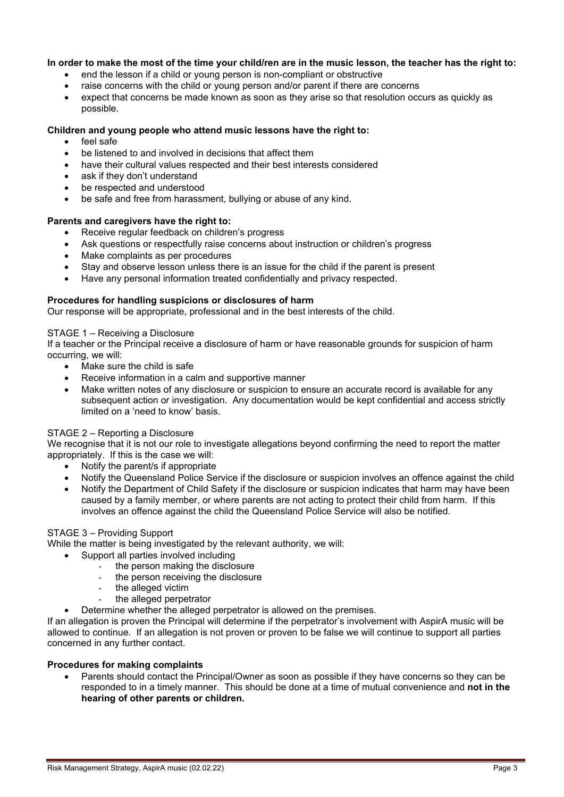## **In order to make the most of the time your child/ren are in the music lesson, the teacher has the right to:**

- end the lesson if a child or young person is non-compliant or obstructive
- raise concerns with the child or young person and/or parent if there are concerns
- expect that concerns be made known as soon as they arise so that resolution occurs as quickly as possible.

## **Children and young people who attend music lessons have the right to:**

- feel safe
- be listened to and involved in decisions that affect them
- have their cultural values respected and their best interests considered
- ask if they don't understand
- be respected and understood
- be safe and free from harassment, bullying or abuse of any kind.

### **Parents and caregivers have the right to:**

- Receive regular feedback on children's progress
- Ask questions or respectfully raise concerns about instruction or children's progress
- Make complaints as per procedures
- Stay and observe lesson unless there is an issue for the child if the parent is present
- Have any personal information treated confidentially and privacy respected.

## **Procedures for handling suspicions or disclosures of harm**

Our response will be appropriate, professional and in the best interests of the child.

### STAGE 1 – Receiving a Disclosure

If a teacher or the Principal receive a disclosure of harm or have reasonable grounds for suspicion of harm occurring, we will:

- Make sure the child is safe
- Receive information in a calm and supportive manner
- Make written notes of any disclosure or suspicion to ensure an accurate record is available for any subsequent action or investigation. Any documentation would be kept confidential and access strictly limited on a 'need to know' basis.

### STAGE 2 – Reporting a Disclosure

We recognise that it is not our role to investigate allegations beyond confirming the need to report the matter appropriately. If this is the case we will:

- Notify the parent/s if appropriate
- Notify the Queensland Police Service if the disclosure or suspicion involves an offence against the child
- Notify the Department of Child Safety if the disclosure or suspicion indicates that harm may have been caused by a family member, or where parents are not acting to protect their child from harm. If this involves an offence against the child the Queensland Police Service will also be notified.

### STAGE 3 – Providing Support

While the matter is being investigated by the relevant authority, we will:

- Support all parties involved including
	- the person making the disclosure
	- the person receiving the disclosure
	- the alleged victim
	- the alleged perpetrator
	- Determine whether the alleged perpetrator is allowed on the premises.

If an allegation is proven the Principal will determine if the perpetrator's involvement with AspirA music will be allowed to continue. If an allegation is not proven or proven to be false we will continue to support all parties concerned in any further contact.

### **Procedures for making complaints**

Parents should contact the Principal/Owner as soon as possible if they have concerns so they can be responded to in a timely manner. This should be done at a time of mutual convenience and **not in the hearing of other parents or children.**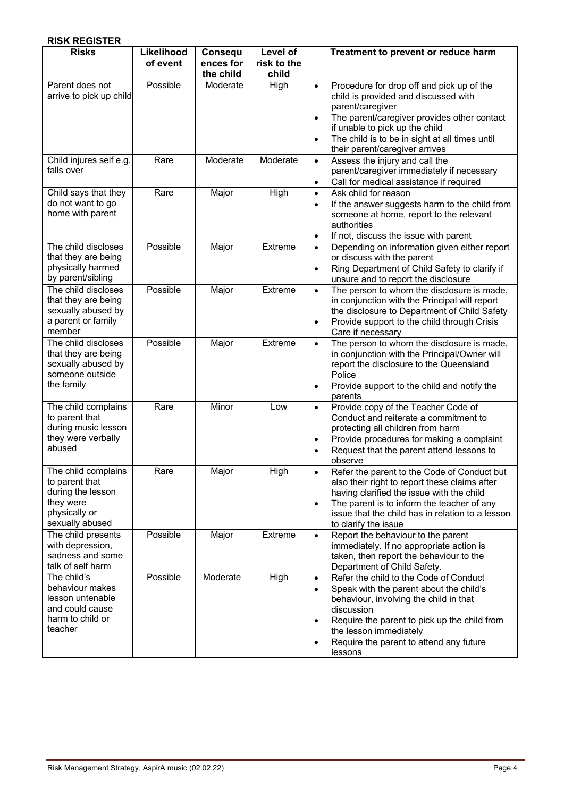|--|

| <b>Risks</b>                                                                                                | Likelihood<br>of event | Consequ<br>ences for<br>the child | Level of<br>risk to the<br>child | Treatment to prevent or reduce harm                                                                                                                                                                                                                                                                                           |
|-------------------------------------------------------------------------------------------------------------|------------------------|-----------------------------------|----------------------------------|-------------------------------------------------------------------------------------------------------------------------------------------------------------------------------------------------------------------------------------------------------------------------------------------------------------------------------|
| Parent does not<br>arrive to pick up child                                                                  | Possible               | Moderate                          | High                             | Procedure for drop off and pick up of the<br>$\bullet$<br>child is provided and discussed with<br>parent/caregiver<br>The parent/caregiver provides other contact<br>$\bullet$<br>if unable to pick up the child<br>The child is to be in sight at all times until<br>$\bullet$<br>their parent/caregiver arrives             |
| Child injures self e.g.<br>falls over                                                                       | Rare                   | Moderate                          | Moderate                         | Assess the injury and call the<br>$\bullet$<br>parent/caregiver immediately if necessary<br>Call for medical assistance if required<br>$\bullet$                                                                                                                                                                              |
| Child says that they<br>do not want to go<br>home with parent                                               | Rare                   | Major                             | High                             | Ask child for reason<br>$\bullet$<br>If the answer suggests harm to the child from<br>$\bullet$<br>someone at home, report to the relevant<br>authorities<br>If not, discuss the issue with parent<br>$\bullet$                                                                                                               |
| The child discloses<br>that they are being<br>physically harmed<br>by parent/sibling                        | Possible               | Major                             | Extreme                          | Depending on information given either report<br>$\bullet$<br>or discuss with the parent<br>Ring Department of Child Safety to clarify if<br>$\bullet$<br>unsure and to report the disclosure                                                                                                                                  |
| The child discloses<br>that they are being<br>sexually abused by<br>a parent or family<br>member            | Possible               | Major                             | Extreme                          | The person to whom the disclosure is made,<br>$\bullet$<br>in conjunction with the Principal will report<br>the disclosure to Department of Child Safety<br>Provide support to the child through Crisis<br>$\bullet$<br>Care if necessary                                                                                     |
| The child discloses<br>that they are being<br>sexually abused by<br>someone outside<br>the family           | Possible               | Major                             | Extreme                          | The person to whom the disclosure is made,<br>$\bullet$<br>in conjunction with the Principal/Owner will<br>report the disclosure to the Queensland<br>Police<br>Provide support to the child and notify the<br>$\bullet$<br>parents                                                                                           |
| The child complains<br>to parent that<br>during music lesson<br>they were verbally<br>abused                | Rare                   | Minor                             | Low                              | Provide copy of the Teacher Code of<br>$\bullet$<br>Conduct and reiterate a commitment to<br>protecting all children from harm<br>Provide procedures for making a complaint<br>$\bullet$<br>Request that the parent attend lessons to<br>$\bullet$<br>observe                                                                 |
| The child complains<br>to parent that<br>during the lesson<br>they were<br>physically or<br>sexually abused | Rare                   | Major                             | High                             | Refer the parent to the Code of Conduct but<br>also their right to report these claims after<br>having clarified the issue with the child<br>The parent is to inform the teacher of any<br>$\bullet$<br>issue that the child has in relation to a lesson<br>to clarify the issue                                              |
| The child presents<br>with depression,<br>sadness and some<br>talk of self harm                             | Possible               | Major                             | Extreme                          | Report the behaviour to the parent<br>$\bullet$<br>immediately. If no appropriate action is<br>taken, then report the behaviour to the<br>Department of Child Safety.                                                                                                                                                         |
| The child's<br>behaviour makes<br>lesson untenable<br>and could cause<br>harm to child or<br>teacher        | Possible               | Moderate                          | High                             | Refer the child to the Code of Conduct<br>$\bullet$<br>Speak with the parent about the child's<br>$\bullet$<br>behaviour, involving the child in that<br>discussion<br>Require the parent to pick up the child from<br>$\bullet$<br>the lesson immediately<br>Require the parent to attend any future<br>$\bullet$<br>lessons |